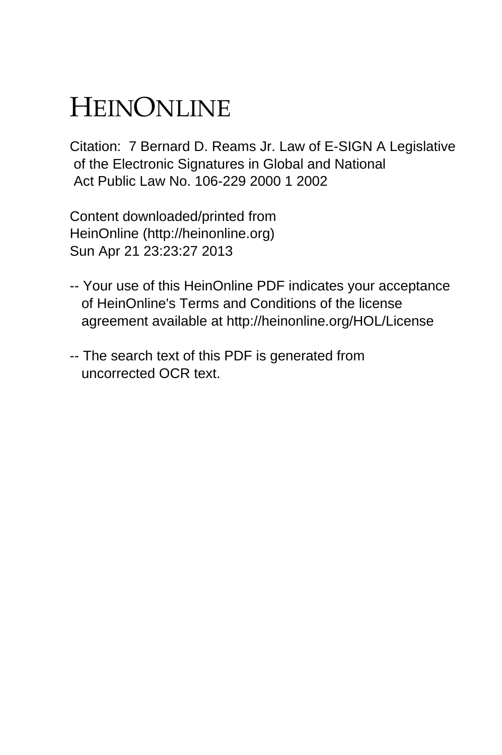# HEINONLINE

Citation: 7 Bernard D. Reams Jr. Law of E-SIGN A Legislative of the Electronic Signatures in Global and National Act Public Law No. 106-229 2000 1 2002

Content downloaded/printed from HeinOnline (http://heinonline.org) Sun Apr 21 23:23:27 2013

- -- Your use of this HeinOnline PDF indicates your acceptance of HeinOnline's Terms and Conditions of the license agreement available at http://heinonline.org/HOL/License
- -- The search text of this PDF is generated from uncorrected OCR text.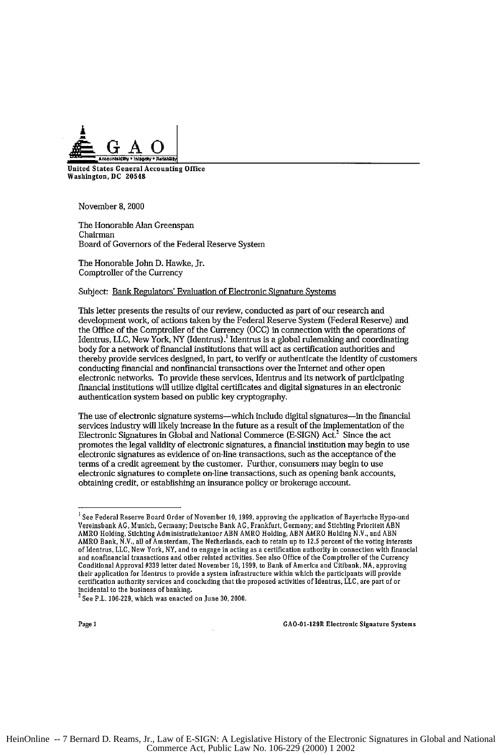

United States General Accounting Office Washington, **DC** 20548

November **8,** 2000

The Honorable Alan Greenspan Chairman Board of Governors of the Federal Reserve System

The Honorable John **D.** Hawke, Jr. Comptroller of the Currency

#### Subject: Bank Regulators' Evaluation of Electronic Signature Systems

This letter presents the results of our review, conducted as part of our research and development work, of actions taken **by** the Federal Reserve System (Federal Reserve) and the Office of the Comptroller of the Currency **(OCC)** in connection with the operations of Identrus, LLC, New York, NY (Identrus).<sup>1</sup> Identrus is a global rulemaking and coordinating body for a network of financial institutions that will act as certification authorities and thereby provide services designed, in part, to verify or authenticate the identity of customers conducting financial and nonfinancial transactions over the Internet and other open electronic networks. To provide these services, Identrus and its network of participating financial institutions will utilize digital certificates and digital signatures in an electronic authentication system based on public key cryptography.

The use of electronic signature systems-which include digital signatures--in the financial services industry will likely increase in the future as a result of the implementation of the Electronic Signatures in Global and National Commerce (E-SIGN) Act.<sup>2</sup> Since the act promotes the legal validity of electronic signatures, a financial institution may begin to use electronic signatures as evidence of on-line transactions, such as the acceptance of the terms of a credit agreement **by** the customer. Further, consumers may begin to use electronic signatures to complete on-line transactions, such as opening bank accounts, obtaining credit, or establishing an insurance policy or brokerage account.

**I** See Federal Reserve Beard Order **of** November **10, 1999,** approving the application **of** Bayerische **Hypo-und** Vereinsbank **AG,** Munich, Germany; Deutsche Bank AG, Frankfurt, Germany; and Stichting Prioriteit **ABN** AMRO Holding, Stichting Administratiekantoor ABN AMRO Holding, ABN ÅMRO Holding N.V., and ABN<br>AMRO Bank, N.V., all of Amsterdam, The Netherlands, each to retain up to 12.5 percent of the voting interests of Identrus, LLC, New York, NY, and to engage in acting as a certification authority in connection with financia<br>and nonfinancial transactions and other related activities. See also Office of the Comptroller of the Currenc Conditional Approval #339 letter dated November **I6, 1999,** to Bank **of** America and Citibank, **NA,** approving their application **for** Identrus to provide a system infrastructure within which the participants will provide certification authority services and concluding that the proposed activities of Identrus, **LLC,** are part **of or** incidental to the business **of** banking. 2 See P.L. **106-229,** which was enacted **on June 30, 2000.**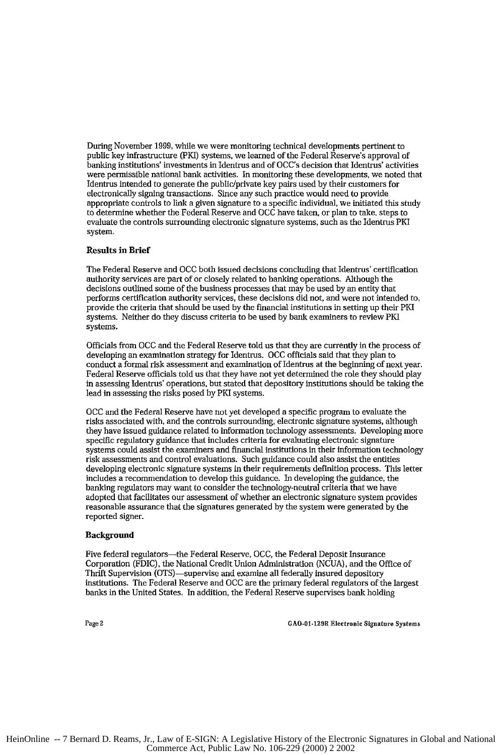During November **1999,** while we were monitoring technical developments pertinent to public key infrastructure (PKI) systems, we learned of the Federal Reserve's approval of banking institutions' investments in Identrus and of OCC's decision that Identrus' activities were permissible national bank activities. In monitoring these developments, we noted that Identrus intended to generate the public/private key pairs used by their customers for electronically signing transactions. Since any such practice would need to provide appropriate controls to link a given signature to a specific individual, we initiated this study to determine whether the Federal Reserve and **OCC** have taken, or plan to take, steps to evaluate the controls surrounding electronic signature systems, such as the Identrus PKI system.

# Results in Brief

The Federal Reserve and **OCC** both issued decisions concluding that Identrus' certification authority services are part of or closely related to banking operations. Although the decisions outlined some of the business processes that may be used by an entity that performs certification authority services, these decisions did not, and were not intended to, provide the criteria that should be used by the financial institutions in setting up their PKI systems. Neither do they discuss criteria to be used by bank examiners to review PKI systems.

Officials from **OCC** and the Federal Reserve told us that they are currently in the process of developing an examination strategy for Identrus. **OCC** officials said that they plan to conduct a formal risk assessment and examination of Identrus at the beginning of next year. Federal Reserve officials told us that they have not yet determined the role they should play in assessing Identrus' operations, but stated that depository institutions should be taking the lead in assessing the risks posed by PKI systems.

**OCC** and the Federal Reserve have not yet developed a specific program to evaluate the risks associated with, and the controls surrounding, electronic signature systems, although they have issued guidance related to information technology assessments. Developing more specific regulatory guidance that includes criteria for evaluating electronic signature systems could assist the examiners and financial institutions in their information technology risk assessments and control evaluations. Such guidance could also assist the entities developing electronic signature systems in their requirements definition process. This letter includes a recommendation to develop this guidance. In developing the guidance, the banking regulators may want to consider the technology-neutral criteria that we have adopted that facilitates our assessment of whether an electronic signature system provides reasonable assurance that the signatures generated **by** the system were generated by the reported signer.

## **Background**

Five federal regulators-the Federal Reserve, OCC, the Federal Deposit Insurance Corporation (FDIC), the National Credit Union Administration (NCUA), and the Office of Thrift Supervision (OTS)-supervise and examine all federally insured depository institutions. The Federal Reserve and **OCC** are the primary federal regulators of the largest banks in the United States. In addition, the Federal Reserve supervises bank holding

Page 2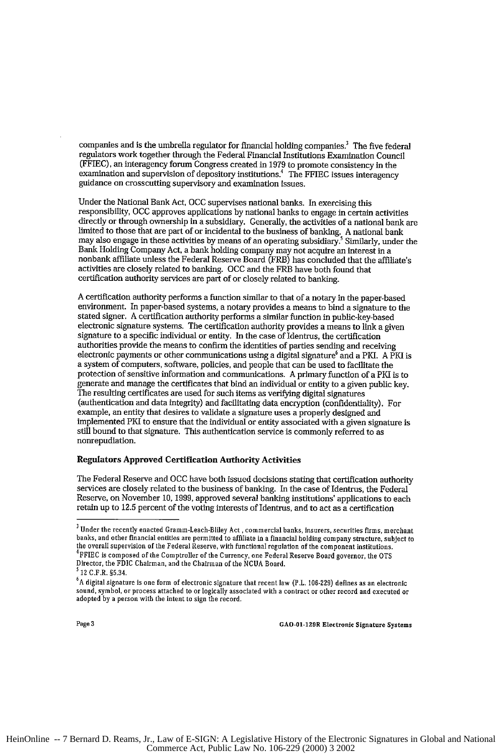companies and is the umbrella regulator for financial holding companies.<sup>3</sup> The five federal regulators work together through the Federal Financial Institutions Examination Council (FFIEC), an interagency forum Congress created in 1979 to promote consistency in the examination and supervision of depository institutions.<sup>4</sup> The FFIEC issues interagency guidance on crosscutting supervisory and examination issues.

Under the National Bank Act, **OCC** supervises national banks. In exercising this responsibility, **OCC** approves applications by national banks to engage in certain activities directly or through ownership in a subsidiary. Generally, the activities of a national bank are limited to those that are part of or incidental to the business of banking. A national bank<br>may also engage in these activities by means of an operating subsidiary.<sup>5</sup> Similarly, under the Bank Holding Company Act, a bank holding company may not acquire an interest in a<br>nonbank affiliate unless the Federal Reserve Board (FRB) has concluded that the affiliate's activities are closely related to banking. **OCC** and the FRB have both found that certification authority services are part of or closely related to banking.

A certification authority performs a function similar to that of a notary in the paper-based environment. In paper-based systems, a notary provides a means to bind a signature to the stated signer. A certification authority performs a similar function in public-key-based electronic signature systems. The certification authority provides a means to link a given signature to a specific individual or entity. In the case of Identrus, the certification authorities provide the means to confirm the identities of parties sending and receiving electronic payments or other communications using a digital signature<sup>6</sup> and a PKI. A PKI is a system of computers, software, policies, and people that can be used to facilitate the protection of sensitive information and communications. A primary function of a PKI is to generate and manage the certificates that bind an individual or entity to a given public key. The resulting certificates are used for such items as verifying digital signatures (authentication and data integrity) and facilitating data encryption (confidentiality). For example, an entity that desires to validate a signature uses a properly designed and implemented PKI to ensure that the individual or entity associated with a given signature is still bound to that signature. This authentication service is commonly referred to as nonrepudiation.

# Regulators Approved Certification Authority Activities

The Federal Reserve and **OCC** have both issued decisions stating that certification authority services are closely related to the business of banking. In the case of Identrus, the Federal Reserve, on November *10,* 1999, approved several banking institutions' applications to each retain up to 12.5 percent of the voting interests of Identrus, and to act as a certification

**<sup>3</sup>**Under the recently enacted Gramm-Leach-Bliley Act , commercial banks, insurers, securities firms, merchant banks, and other financial entities are permitted to affiliate in a financial holding company structure, subject to<br>the overall supervision of the Federal Reserve, with functional regulation of the component institutions.<br> Director, the FDIC Chairman, and the Chairman of the NCUA Board. **<sup>5</sup>**12 C.F.R. §5.34.

**<sup>6</sup>A** digital signature is one form of electronic **signature** that recent **law (P.L. 106-229)** defines as an electronic sound, symbol, or process attached to **or** logically associated with a contract or other record and executed or adopted **by** a person with the intent **to** sign the record.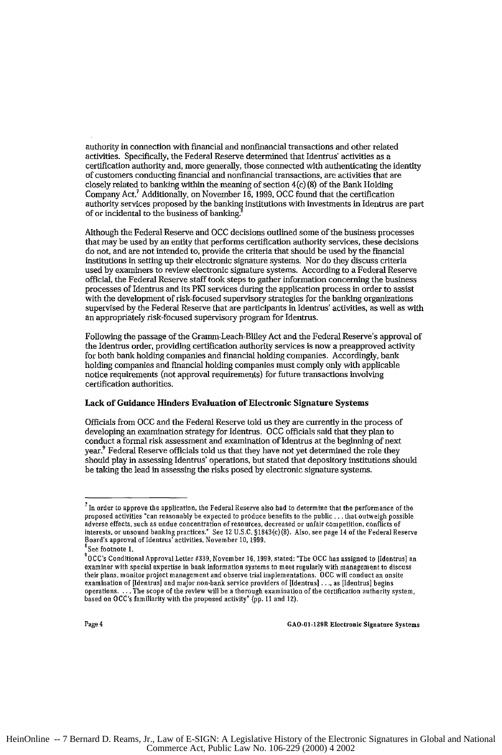authority in connection with financial and nonfinancial transactions and other related activities. Specifically, the Federal Reserve determined that Identrus' activities as a certification authority and, more generally, those connected with authenticating the identity of customers conducting financial and nonfinancial transactions, are activities that are closely related to banking within the meaning of section 4(c) (8) of the Bank Holding Company Act.7 Additionally, on November 16, 1999, **OCC** found that the certification authority services proposed by the banking institutions with investments in Identrus are part of or incidental to the business of banking.

Although the Federal Reserve and **OCC** decisions outlined some of the business processes that may be used by an entity that performs certification authority services, these decisions do not, and are not intended to, provide the criteria that should be used by the financial institutions in setting up their electronic signature systems. Nor do they discuss criteria used by examiners to review electronic signature systems. According to a Federal Reserve official, the Federal Reserve staff took steps to gather information concerning the business processes of Identrus and its PMI services during the application process in order to assist with the development of risk-focused supervisory strategies for the banking organizations supervised by the Federal Reserve that are participants in Identrus' activities, as well as with<br>an appropriately risk-focused supervisory program for Identrus.

Following the passage of the Gramm-Leach-Bliley Act and the Federal Reserve's approval of the Identrus order, providing certification authority services is now a preapproved activity for both bank holding companies and financial holding companies. Accordingly, bank holding companies and financial holding companies must comply only with applicable notice requirements (not approval requirements) for future transactions involving certification authorities.

## Lack of Guidance Hinders Evaluation of Electronic Signature Systems

Officials from **OCC** and the Federal Reserve told us they are currently in the process of developing an examination strategy for Identrus. **OCC** officials said that they plan to conduct a formal risk assessment and examination of Identrus at the beginning of next year.<sup>9</sup> Federal Reserve officials told us that they have not yet determined the role they should play in assessing Identrus' operations, but stated that depository institutions should be taking the lead in assessing the risks posed by electronic signature systems.

 $^7$  In order to approve the application, the Federal Reserve also had to determine that the performance of the proposed activities "can reasonably be expected to produce benefits to the public . . . that outweigh possible<br>adverse effects, such as undue concentration of resources, decreased or unfair competition, conflicts of<br>intere

See footnote 1.

<sup>0</sup>CC's Conditional Approval Letter #339, November **16,** 1999, stated: "The **OCC** has assigned to [Identrus] an examiner with special expertise in bank information systems to meet regularly with management to discuss their plans, monitor project management and observe trial implementations. **OCC** will conduct an onsite examination of [Identrus] and major non-bank service providers of Ildentrus] **....** as [Identrus] begins operations **. ..** The scope of the review will be a thorough examination of the certification authority system, based **on** OCC's familiarity with the proposed activity" (pp. **11** and 12).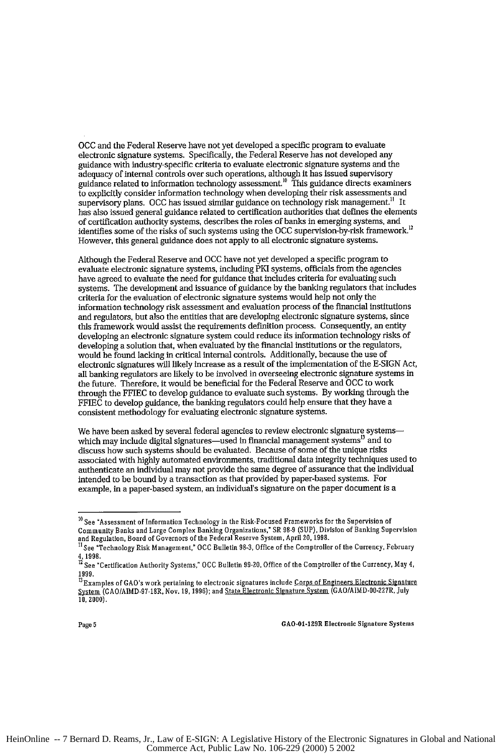**OCC** and the Federal Reserve have not yet developed a specific program to evaluate electronic signature systems. Specifically, the Federal Reserve has not developed any guidance with industry-specific criteria to evaluate electronic signature systems and the adequacy of internal controls over such operations, although it has issued supervisory guidance related to information technology assessment.<sup>10</sup> This guidance directs examiners to explicitly consider information technology when developing their risk assessments and supervisory plans. **OCC** has issued similar guidance on technology risk management." It has also issued general guidance related to certification authorities that defines the elements of certification authority systems, describes the roles of banks in emerging systems, and identifies some of the risks of such systems using the OCC supervision-by-risk framework.<sup>12</sup> However, this general guidance does not apply to all electronic signature systems.

Although the Federal Reserve and **OCC** have not yet developed a specific program to evaluate electronic signature systems, including PKI systems, officials from the agencies have agreed to evaluate the need for guidance that includes criteria for evaluating such systems. The development and issuance of guidance **by** the banking regulators that includes criteria for the evaluation of electronic signature systems would help not only the information technology risk assessment and evaluation process of the financial institutions and regulators, but also the entities that are developing electronic signature systems, since this framework would assist the requirements definition process. Consequently, an entity developing an electronic signature system could reduce its information technology risks of developing a solution that, when evaluated by the financial institutions or the regulators, would be found lacking in critical internal controls. Additionally, because the use of electronic signatures will likely increase as a result of the implementation of the E-SIGN Act, all banking regulators are likely to be involved in overseeing electronic signature systems in the future. Therefore, it would be beneficial for the Federal Reserve and **OCC** to work through the FFIEC to develop guidance to evaluate such systems. By working through the FFIEC to develop guidance, the banking regulators could help ensure that they have a consistent methodology for evaluating electronic signature systems.

We have been asked by several federal agencies to review electronic signature systemswhich may include digital signatures-used in financial management systems<sup>13</sup> and to discuss how such systems should be evaluated. Because of some of the unique risks associated with highly automated environments, traditional data integrity techniques used to authenticate an individual may not provide the same degree of assurance that the individual intended to be bound by a transaction as that provided by paper-based systems. For example, in a paper-based system, an individual's signature on the paper document is a

**<sup>10</sup>** See "Assessment of Information Technology in the Risk-Focused Frameworks for the Supervision of Community Banks and Large Complex Banking Organizations," SR **98-9** (SUP), Division of Banking Supervision and Regulation, Board of Governors of the Federal Reserve System, April 20, **1998.**

<sup>&</sup>quot; See "Technology Risk Management," **OCC** Bulletin **98-3,** Office of the Comptroller of the Currency, February 4,1998.

<sup>12</sup> See "Certification Authority Systems," **OCC** Bulletin **99-20,** Office of the Comptroller of the Currency, May 4, **1999.**

<sup>&</sup>lt;sup>13</sup>Examples of GAO's work pertaining to electronic signatures include Corps of Engineers Electronic Signature System **(GAO/AIMD-97-18R, Nov. 19, 1996)**; and State Electronic Signature System (GAO/AIMD-00-227R, July  $\overline{10}$ , 2000).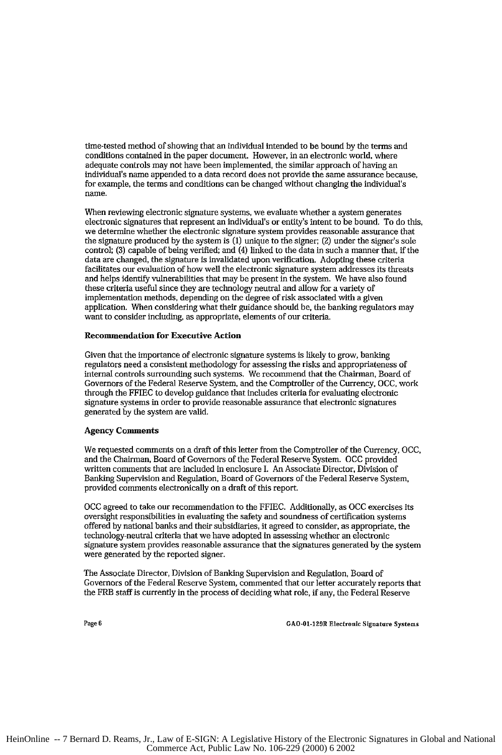time-tested method of showing that an individual intended to be bound by the terms and conditions contained in the paper document. However, in an electronic world, where adequate controls may not have been implemented, the similar approach of having an individual's name appended to a data record does not provide the same assurance because, for example, the terms and conditions can be changed without changing the individual's name.

When reviewing electronic signature systems, we evaluate whether a system generates electronic signatures that represent an individual's or entity's intent to be bound. To do this, we determine whether the electronic signature system provides reasonable assurance that the signature produced **by** the system is (1) unique to the signer; (2) under the signer's sole control; (3) capable of being verified; and (4) linked to the data in such a manner that, if the data are changed, the signature is invalidated upon verification. Adopting these criteria facilitates our evaluation of how well the electronic signature system addresses its threats and helps identify vulnerabilities that may be present in the system. We have also found these criteria useful since they are technology neutral and allow for a variety of implementation methods, depending on the degree of risk associated with a given application. When considering what their guidance should be, the banking regulators may want to consider including, as appropriate, elements of our criteria.

## Recommendation for Executive Action

Given that the importance of electronic signature systems is likely to grow, banking regulators need a consistent methodology for assessing the risks and appropriateness of internal controls surrounding such systems. We recommend that the Chairman, Board of Governors of the Federal Reserve System, and the Comptroller of the Currency, OCC, work through the FFIEC to develop guidance that includes criteria for evaluating electronic signature systems in order to provide reasonable assurance that electronic signatures generated by the system are valid.

## Agency Comments

We requested comments **on** a draft of this letter from the Comptroller of the Currency, OCC, and the Chairman, Board of Governors of the Federal Reserve System. **OCC** provided written comments that are included in enclosure I. An Associate Director, Division of Banking Supervision and Regulation, Board of Governors of the Federal Reserve System, provided comments electronically on a draft of this report.

**OCC** agreed to take our recommendation to the FFIEC. Additionally, as **OCC** exercises its oversight responsibilities in evaluating the safety and soundness of certification systems offered by national banks and their subsidiaries, it agreed to consider, as appropriate, the technology-neutral criteria that we have adopted in assessing whether an electronic signature system provides reasonable assurance that the signatures generated by the system were generated by the reported signer.

The Associate Director, Division of Banking Supervision and Regulation, Board of Governors of the Federal Reserve System, commented that our letter accurately reports that the FRB staff is currently in the process of deciding what role, if any, the Federal Reserve

Page 6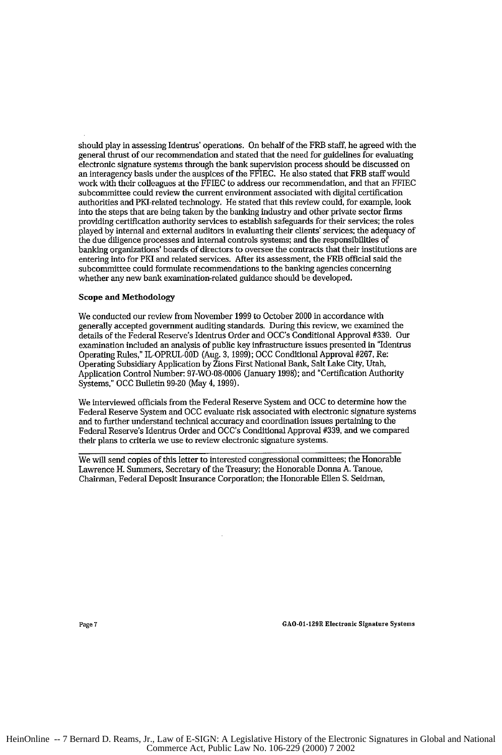should play in assessing Identrus' operations. On behalf of the FRB staff, he agreed with the general thrust of our recommendation and stated that the need for guidelines for evaluating electronic signature systems through the bank supervision process should be discussed on an interagency basis under the auspices of the FFIEC. He also stated that FRB staff would work with their colleagues at the **FFIEC** to address our recommendation, and that an FFIEC subcommittee could review the current environment associated with digital certification authorities and PKI-related technology. He stated that this review could, for example, look into the steps that are being taken by the banking industry and other private sector firms providing certification authority services to establish safeguards for their services; the roles played by internal and external auditors in evaluating their clients' services; the adequacy of the due diligence processes and internal controls systems; and the responsibilities of banking organizations' boards of directors to oversee the contracts that their institutions are entering into for PKI and related services. After its assessment, the FRB official said the subcommittee could formulate recommendations to the banking agencies concerning whether any new bank examination-related guidance should be developed.

#### Scope **and** Methodology

We conducted our review from November 1999 to October 2000 in accordance with generally accepted government auditing standards. During this review, we examined the details of the Federal Reserve's Identrus Order and OCC's Conditional Approval #339. Our examination included an analysis of public key infrastructure issues presented in "Identrus Operating Rules," IL-OPRUL-00D (Aug. 3, 1999); **OCC** Conditional Approval #267, **Re:** Operating Subsidiary Application by Zions First National Bank, Salt Lake City, Utah, Application Control Number: **97-WO-08-0006** (January 1998); and "Certification Authority Systems," OCC Bulletin 99-20 (May 4, 1999).

We interviewed officials from the Federal Reserve System and **OCC** to determine how the Federal Reserve System and **OCC** evaluate risk associated with electronic signature systems and to further understand technical accuracy and coordination issues pertaining to the Federal Reserve's Identrus Order and OCC's Conditional Approval #339, and we compared their plans to criteria we use to review electronic signature systems.

We will send copies of this letter to interested congressional committees; the Honorable Lawrence H. Summers, Secretary of the Treasury; the Honorable Donna A. Tanoue, Chairman, Federal Deposit Insurance Corporation; the Honorable Ellen S. Seidman,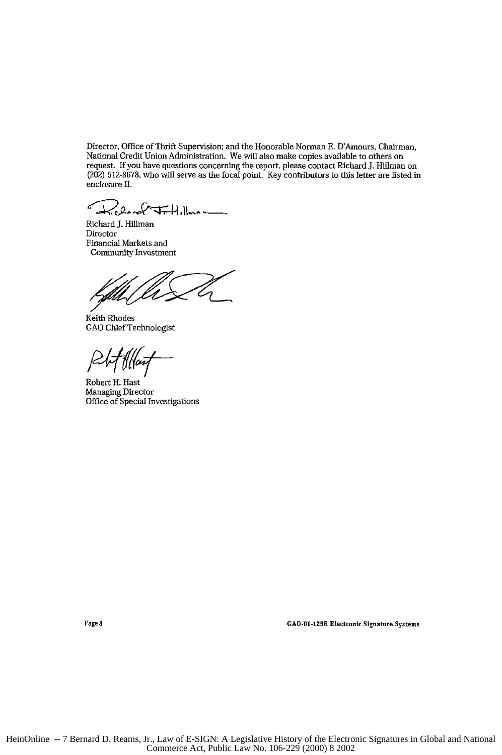Director, Office of Thrift Supervision; and the Honorable Norman H. D'Amours, Chairman, National Credit Union Administration. We will also make copies available to others on request. If you have questions concerning the report, please contact Richard J. Hillman on (202) 512-8678, who will serve as the focal point. Key contributors to this letter are listed in enclosure II.

 $2$ errel <del>Jr.</del> Hillman

Richard J. Hillman Director Financial Markets and Community Investment

Keith Rhodes GAO Chief Technologist

P 4 <del>[</del>[[lait

Page 8

Robert H. Hast Managing Director Office of Special Investigations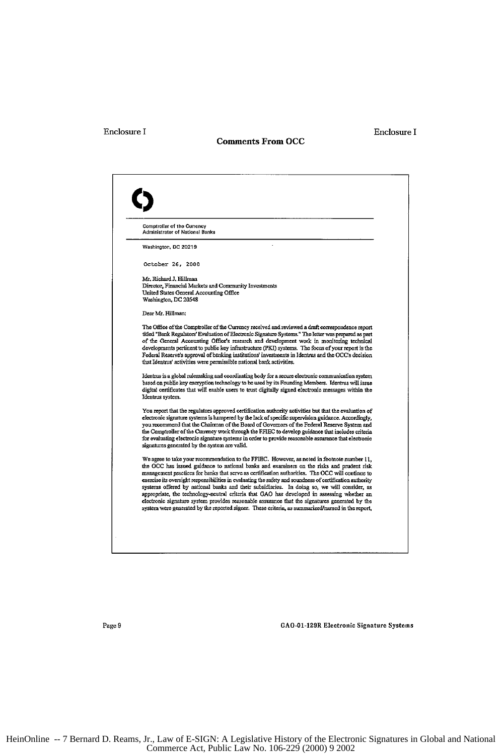# Enclosure I Enclosure I

#### **Comments From OCC**

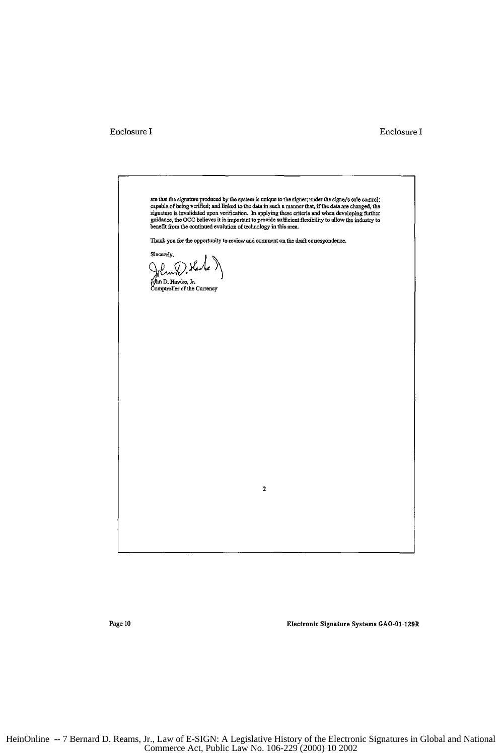# Enclosure **I**

# Enclosure I

are that the signature produced by the system is unique to the signer; under the signer's sole control, and the<br>capable of being verified; and in<br>head in such a signature is invalidated upon verification. In applying these Thank you for the opportunity to review and comment on the draft correspondence. Sincerely, tw-X .<br>ghn D. Hawke, Jr. omptroller of the Currency  $\mathbf 2$ 

**Page 10**

Electronic Signature Systems GAO-01-129R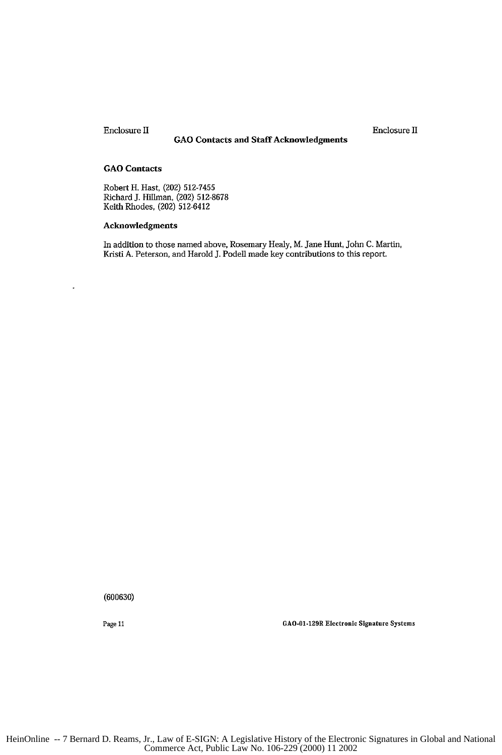Enclosure II Enclosure **11**

# **GAO Contacts and Staff Acknowledgments**

# **GAO Contacts**

Robert H. Hast, (202) **512-7455** Richard **J.** Hillman, (202) **512-8678** Keith Rhodes, (202) 512-641.

# **Acknowledgments**

In addition to those named above, Rosemary Healy, M. Jane Hunt, John **C.** Martin, Kristi **A.** Peterson, and Harold **J.** Podell made key contributions to this report.

(600630)

Page 11